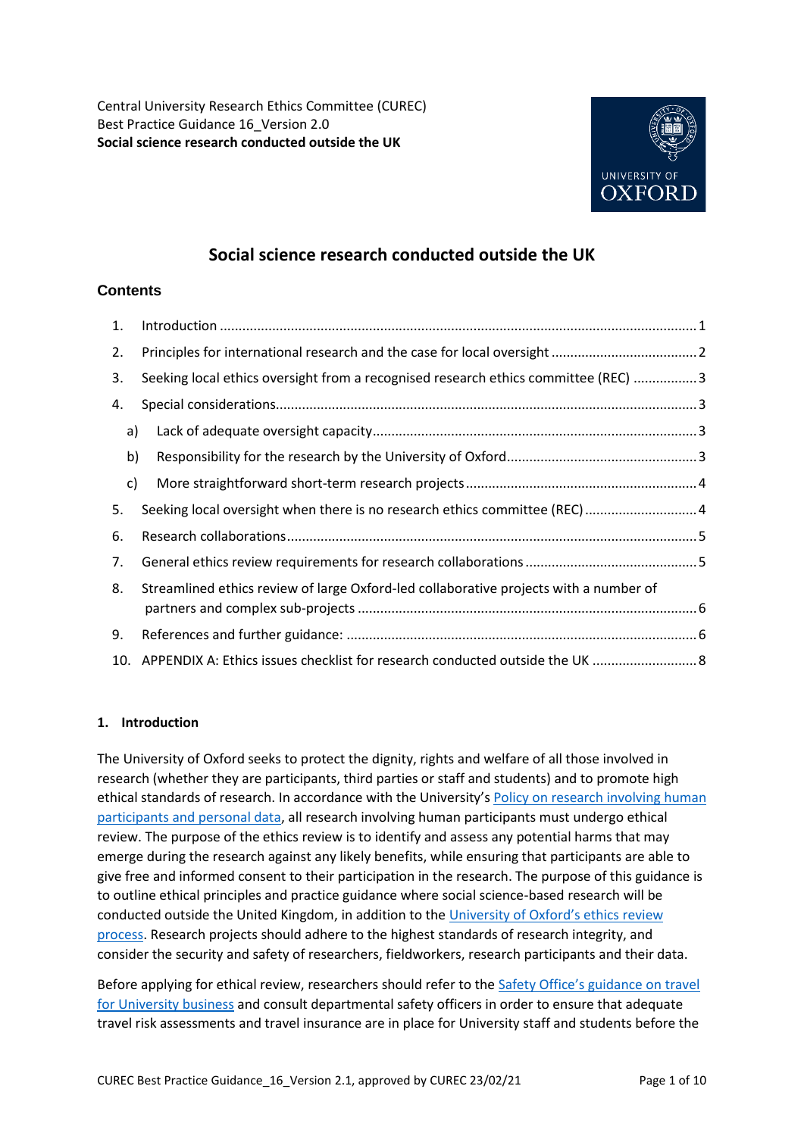Central University Research Ethics Committee (CUREC) Best Practice Guidance 16\_Version 2.0 **Social science research conducted outside the UK**



# **Social science research conducted outside the UK**

# **Contents**

| 1.           |                                                                                       |  |
|--------------|---------------------------------------------------------------------------------------|--|
| 2.           |                                                                                       |  |
| 3.           | Seeking local ethics oversight from a recognised research ethics committee (REC) 3    |  |
| 4.           |                                                                                       |  |
| a)           |                                                                                       |  |
| b)           |                                                                                       |  |
| $\mathsf{c}$ |                                                                                       |  |
| 5.           | Seeking local oversight when there is no research ethics committee (REC) 4            |  |
| 6.           |                                                                                       |  |
| 7.           |                                                                                       |  |
| 8.           | Streamlined ethics review of large Oxford-led collaborative projects with a number of |  |
| 9.           |                                                                                       |  |
| 10.          | APPENDIX A: Ethics issues checklist for research conducted outside the UK  8          |  |

# <span id="page-0-0"></span>**1. Introduction**

The University of Oxford seeks to protect the dignity, rights and welfare of all those involved in research (whether they are participants, third parties or staff and students) and to promote high ethical standards of research. In accordance with the University's [Policy on research involving human](https://researchsupport.admin.ox.ac.uk/governance/ethics)  [participants and personal data,](https://researchsupport.admin.ox.ac.uk/governance/ethics) all research involving human participants must undergo ethical review. The purpose of the ethics review is to identify and assess any potential harms that may emerge during the research against any likely benefits, while ensuring that participants are able to give free and informed consent to their participation in the research. The purpose of this guidance is to outline ethical principles and practice guidance where social science-based research will be conducted outside the United Kingdom, in addition to the [University of Oxford's ethics r](https://researchsupport.admin.ox.ac.uk/governance/ethics)eview [process.](https://researchsupport.admin.ox.ac.uk/governance/ethics) Research projects should adhere to the highest standards of research integrity, and consider the security and safety of researchers, fieldworkers, research participants and their data.

Before applying for ethical review, researchers should refer to the [Safety Office's guidance on travel](https://safety.admin.ox.ac.uk/coronavirus#collapse1916536)  [for University business](https://safety.admin.ox.ac.uk/coronavirus#collapse1916536) and consult departmental safety officers in order to ensure that adequate travel risk assessments and travel insurance are in place for University staff and students before the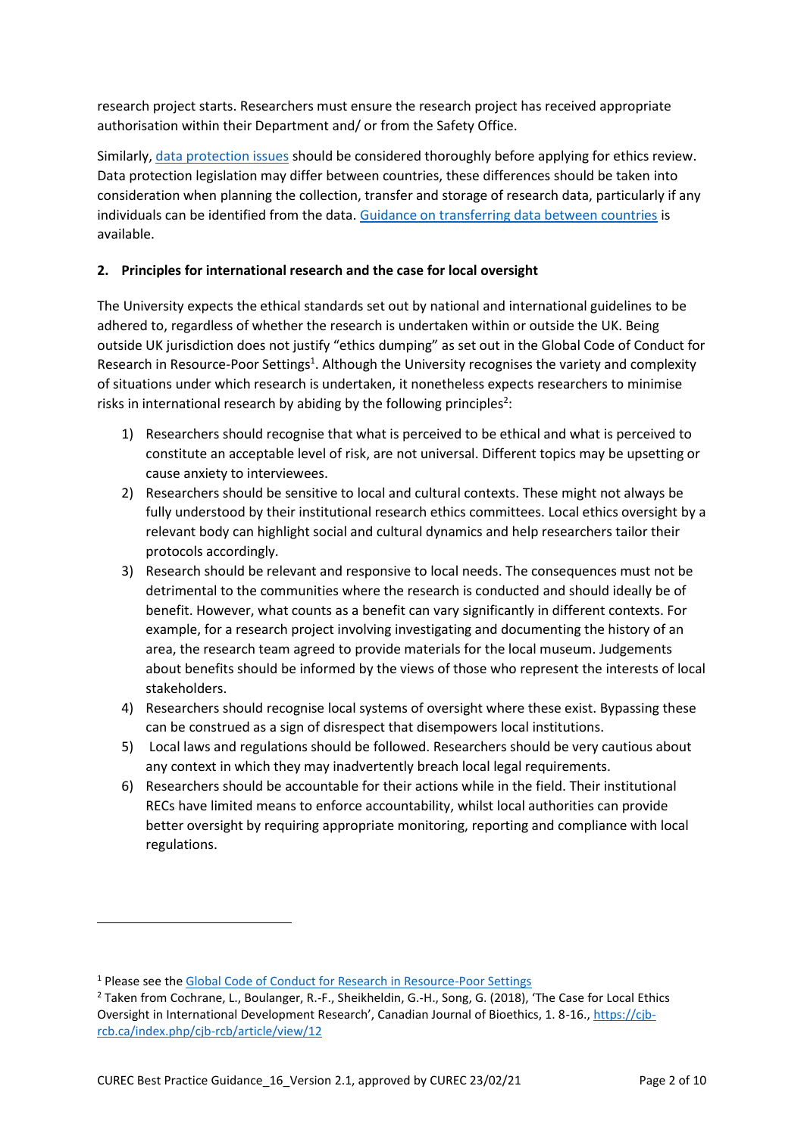research project starts. Researchers must ensure the research project has received appropriate authorisation within their Department and/ or from the Safety Office.

Similarly, [data protection issues](https://researchsupport.admin.ox.ac.uk/policy/data/checklist) should be considered thoroughly before applying for ethics review. Data protection legislation may differ between countries, these differences should be taken into consideration when planning the collection, transfer and storage of research data, particularly if any individuals can be identified from the data[. Guidance on transferring data between countries](https://researchsupport.admin.ox.ac.uk/policy/data/transfer) is available.

# <span id="page-1-0"></span>**2. Principles for international research and the case for local oversight**

The University expects the ethical standards set out by national and international guidelines to be adhered to, regardless of whether the research is undertaken within or outside the UK. Being outside UK jurisdiction does not justify "ethics dumping" as set out in the Global Code of Conduct for Research in Resource-Poor Settings<sup>1</sup>. Although the University recognises the variety and complexity of situations under which research is undertaken, it nonetheless expects researchers to minimise risks in international research by abiding by the following principles<sup>2</sup>:

- 1) Researchers should recognise that what is perceived to be ethical and what is perceived to constitute an acceptable level of risk, are not universal. Different topics may be upsetting or cause anxiety to interviewees.
- 2) Researchers should be sensitive to local and cultural contexts. These might not always be fully understood by their institutional research ethics committees. Local ethics oversight by a relevant body can highlight social and cultural dynamics and help researchers tailor their protocols accordingly.
- 3) Research should be relevant and responsive to local needs. The consequences must not be detrimental to the communities where the research is conducted and should ideally be of benefit. However, what counts as a benefit can vary significantly in different contexts. For example, for a research project involving investigating and documenting the history of an area, the research team agreed to provide materials for the local museum. Judgements about benefits should be informed by the views of those who represent the interests of local stakeholders.
- 4) Researchers should recognise local systems of oversight where these exist. Bypassing these can be construed as a sign of disrespect that disempowers local institutions.
- 5) Local laws and regulations should be followed. Researchers should be very cautious about any context in which they may inadvertently breach local legal requirements.
- 6) Researchers should be accountable for their actions while in the field. Their institutional RECs have limited means to enforce accountability, whilst local authorities can provide better oversight by requiring appropriate monitoring, reporting and compliance with local regulations.

**.** 

<sup>&</sup>lt;sup>1</sup> Please see the [Global Code of Conduct for Research in Resource-Poor Settings](http://www.globalcodeofconduct.org/)

<sup>&</sup>lt;sup>2</sup> Taken from Cochrane, L., Boulanger, R.-F., Sheikheldin, G.-H., Song, G. (2018), 'The Case for Local Ethics Oversight in International Development Research', Canadian Journal of Bioethics, 1. 8-16.[, https://cjb](https://cjb-rcb.ca/index.php/cjb-rcb/article/view/12)[rcb.ca/index.php/cjb-rcb/article/view/12](https://cjb-rcb.ca/index.php/cjb-rcb/article/view/12)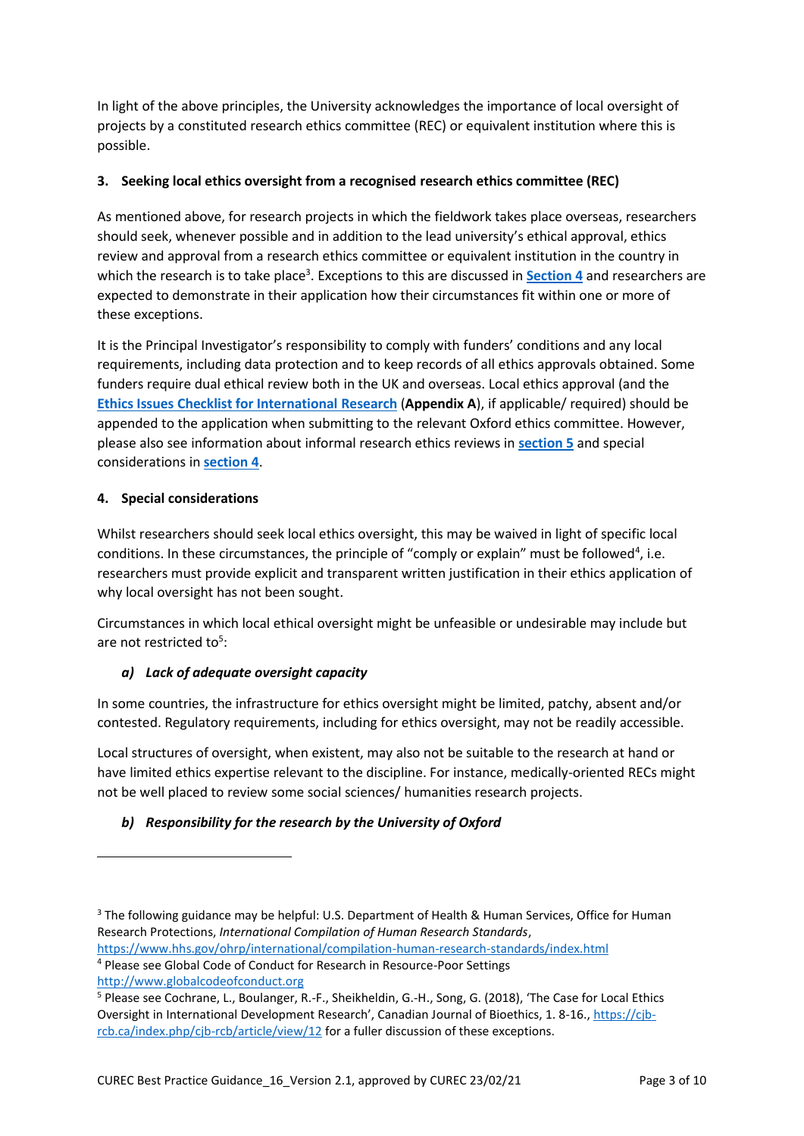In light of the above principles, the University acknowledges the importance of local oversight of projects by a constituted research ethics committee (REC) or equivalent institution where this is possible.

# <span id="page-2-0"></span>**3. Seeking local ethics oversight from a recognised research ethics committee (REC)**

As mentioned above, for research projects in which the fieldwork takes place overseas, researchers should seek, whenever possible and in addition to the lead university's ethical approval, ethics review and approval from a research ethics committee or equivalent institution in the country in which the research is to take place<sup>3</sup>. Exceptions to this are discussed in **[Section 4](#page-2-1)** and researchers are expected to demonstrate in their application how their circumstances fit within one or more of these exceptions.

It is the Principal Investigator's responsibility to comply with funders' conditions and any local requirements, including data protection and to keep records of all ethics approvals obtained. Some funders require dual ethical review both in the UK and overseas. Local ethics approval (and the **[Ethics Issues Checklist for International](#page-7-0) Research** (**Appendix A**), if applicable/ required) should be appended to the application when submitting to the relevant Oxford ethics committee. However, please also see information about informal research ethics reviews in **[section](#page-3-1) 5** and special considerations in **[section 4](#page-2-1)**.

#### <span id="page-2-1"></span>**4. Special considerations**

Whilst researchers should seek local ethics oversight, this may be waived in light of specific local conditions. In these circumstances, the principle of "comply or explain" must be followed<sup>4</sup>, i.e. researchers must provide explicit and transparent written justification in their ethics application of why local oversight has not been sought.

Circumstances in which local ethical oversight might be unfeasible or undesirable may include but are not restricted to<sup>5</sup>:

# <span id="page-2-2"></span>*a) Lack of adequate oversight capacity*

In some countries, the infrastructure for ethics oversight might be limited, patchy, absent and/or contested. Regulatory requirements, including for ethics oversight, may not be readily accessible.

Local structures of oversight, when existent, may also not be suitable to the research at hand or have limited ethics expertise relevant to the discipline. For instance, medically-oriented RECs might not be well placed to review some social sciences/ humanities research projects.

# <span id="page-2-3"></span>*b) Responsibility for the research by the University of Oxford*

```
https://www.hhs.gov/ohrp/international/compilation-human-research-standards/index.html
4 Please see Global Code of Conduct for Research in Resource-Poor Settings
```
[http://www.globalcodeofconduct.org](http://www.globalcodeofconduct.org/)

**.** 

<sup>&</sup>lt;sup>3</sup> The following guidance may be helpful: U.S. Department of Health & Human Services, Office for Human Research Protections, *International Compilation of Human Research Standards*,

<sup>5</sup> Please see Cochrane, L., Boulanger, R.-F., Sheikheldin, G.-H., Song, G. (2018), 'The Case for Local Ethics Oversight in International Development Research', Canadian Journal of Bioethics, 1. 8-16.[, https://cjb](https://cjb-rcb.ca/index.php/cjb-rcb/article/view/12)[rcb.ca/index.php/cjb-rcb/article/view/12](https://cjb-rcb.ca/index.php/cjb-rcb/article/view/12) for a fuller discussion of these exceptions.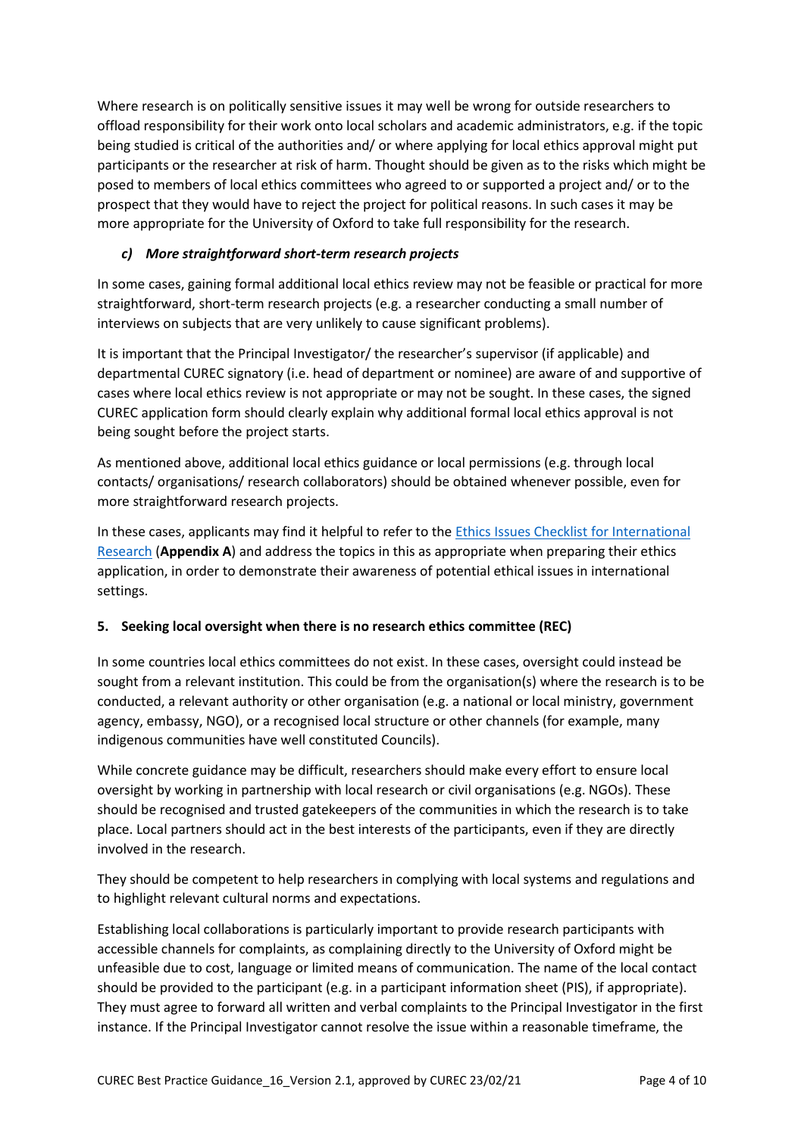Where research is on politically sensitive issues it may well be wrong for outside researchers to offload responsibility for their work onto local scholars and academic administrators, e.g. if the topic being studied is critical of the authorities and/ or where applying for local ethics approval might put participants or the researcher at risk of harm. Thought should be given as to the risks which might be posed to members of local ethics committees who agreed to or supported a project and/ or to the prospect that they would have to reject the project for political reasons. In such cases it may be more appropriate for the University of Oxford to take full responsibility for the research.

# <span id="page-3-0"></span>*c) More straightforward short-term research projects*

In some cases, gaining formal additional local ethics review may not be feasible or practical for more straightforward, short-term research projects (e.g. a researcher conducting a small number of interviews on subjects that are very unlikely to cause significant problems).

It is important that the Principal Investigator/ the researcher's supervisor (if applicable) and departmental CUREC signatory (i.e. head of department or nominee) are aware of and supportive of cases where local ethics review is not appropriate or may not be sought. In these cases, the signed CUREC application form should clearly explain why additional formal local ethics approval is not being sought before the project starts.

As mentioned above, additional local ethics guidance or local permissions (e.g. through local contacts/ organisations/ research collaborators) should be obtained whenever possible, even for more straightforward research projects.

In these cases, applicants may find it helpful to refer to the [Ethics Issues Checklist for International](#page-7-0)  [Research](#page-7-0) (**Appendix A**) and address the topics in this as appropriate when preparing their ethics application, in order to demonstrate their awareness of potential ethical issues in international settings.

# <span id="page-3-1"></span>**5. Seeking local oversight when there is no research ethics committee (REC)**

In some countries local ethics committees do not exist. In these cases, oversight could instead be sought from a relevant institution. This could be from the organisation(s) where the research is to be conducted, a relevant authority or other organisation (e.g. a national or local ministry, government agency, embassy, NGO), or a recognised local structure or other channels (for example, many indigenous communities have well constituted Councils).

While concrete guidance may be difficult, researchers should make every effort to ensure local oversight by working in partnership with local research or civil organisations (e.g. NGOs). These should be recognised and trusted gatekeepers of the communities in which the research is to take place. Local partners should act in the best interests of the participants, even if they are directly involved in the research.

They should be competent to help researchers in complying with local systems and regulations and to highlight relevant cultural norms and expectations.

Establishing local collaborations is particularly important to provide research participants with accessible channels for complaints, as complaining directly to the University of Oxford might be unfeasible due to cost, language or limited means of communication. The name of the local contact should be provided to the participant (e.g. in a participant information sheet (PIS), if appropriate). They must agree to forward all written and verbal complaints to the Principal Investigator in the first instance. If the Principal Investigator cannot resolve the issue within a reasonable timeframe, the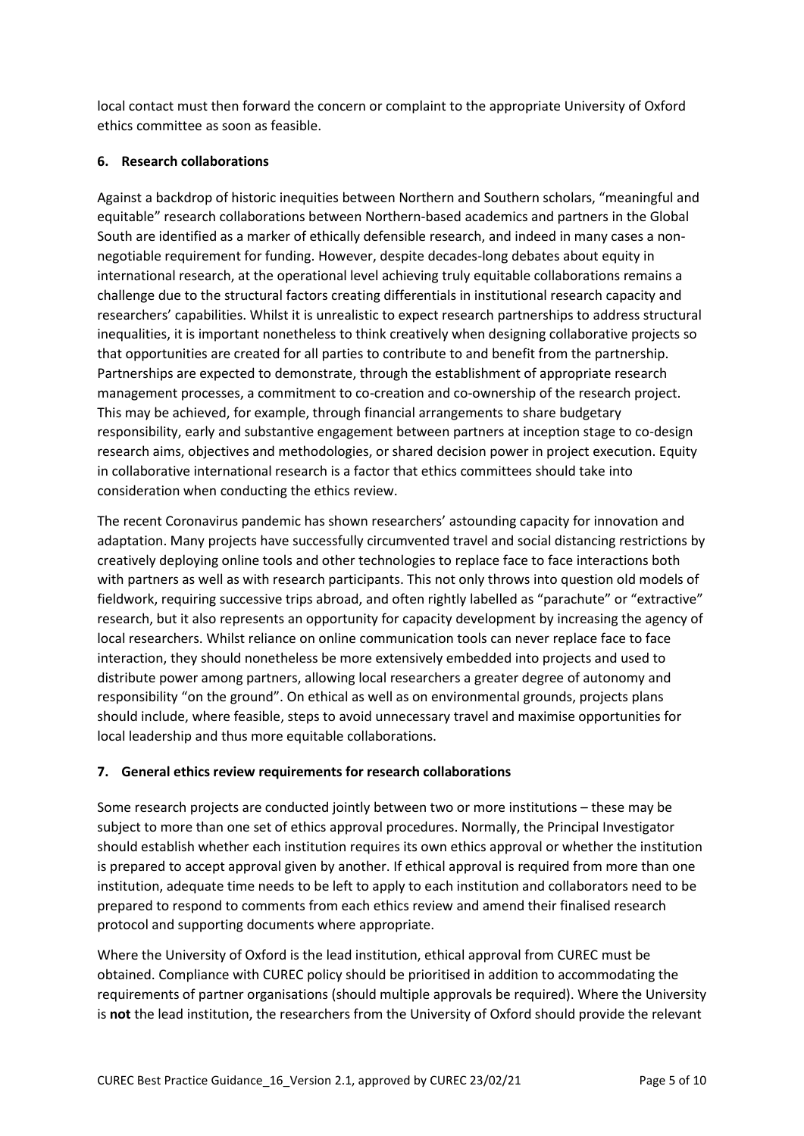local contact must then forward the concern or complaint to the appropriate University of Oxford ethics committee as soon as feasible.

### <span id="page-4-0"></span>**6. Research collaborations**

Against a backdrop of historic inequities between Northern and Southern scholars, "meaningful and equitable" research collaborations between Northern-based academics and partners in the Global South are identified as a marker of ethically defensible research, and indeed in many cases a nonnegotiable requirement for funding. However, despite decades-long debates about equity in international research, at the operational level achieving truly equitable collaborations remains a challenge due to the structural factors creating differentials in institutional research capacity and researchers' capabilities. Whilst it is unrealistic to expect research partnerships to address structural inequalities, it is important nonetheless to think creatively when designing collaborative projects so that opportunities are created for all parties to contribute to and benefit from the partnership. Partnerships are expected to demonstrate, through the establishment of appropriate research management processes, a commitment to co-creation and co-ownership of the research project. This may be achieved, for example, through financial arrangements to share budgetary responsibility, early and substantive engagement between partners at inception stage to co-design research aims, objectives and methodologies, or shared decision power in project execution. Equity in collaborative international research is a factor that ethics committees should take into consideration when conducting the ethics review.

The recent Coronavirus pandemic has shown researchers' astounding capacity for innovation and adaptation. Many projects have successfully circumvented travel and social distancing restrictions by creatively deploying online tools and other technologies to replace face to face interactions both with partners as well as with research participants. This not only throws into question old models of fieldwork, requiring successive trips abroad, and often rightly labelled as "parachute" or "extractive" research, but it also represents an opportunity for capacity development by increasing the agency of local researchers. Whilst reliance on online communication tools can never replace face to face interaction, they should nonetheless be more extensively embedded into projects and used to distribute power among partners, allowing local researchers a greater degree of autonomy and responsibility "on the ground". On ethical as well as on environmental grounds, projects plans should include, where feasible, steps to avoid unnecessary travel and maximise opportunities for local leadership and thus more equitable collaborations.

# <span id="page-4-1"></span>**7. General ethics review requirements for research collaborations**

Some research projects are conducted jointly between two or more institutions – these may be subject to more than one set of ethics approval procedures. Normally, the Principal Investigator should establish whether each institution requires its own ethics approval or whether the institution is prepared to accept approval given by another. If ethical approval is required from more than one institution, adequate time needs to be left to apply to each institution and collaborators need to be prepared to respond to comments from each ethics review and amend their finalised research protocol and supporting documents where appropriate.

Where the University of Oxford is the lead institution, ethical approval from CUREC must be obtained. Compliance with CUREC policy should be prioritised in addition to accommodating the requirements of partner organisations (should multiple approvals be required). Where the University is **not** the lead institution, the researchers from the University of Oxford should provide the relevant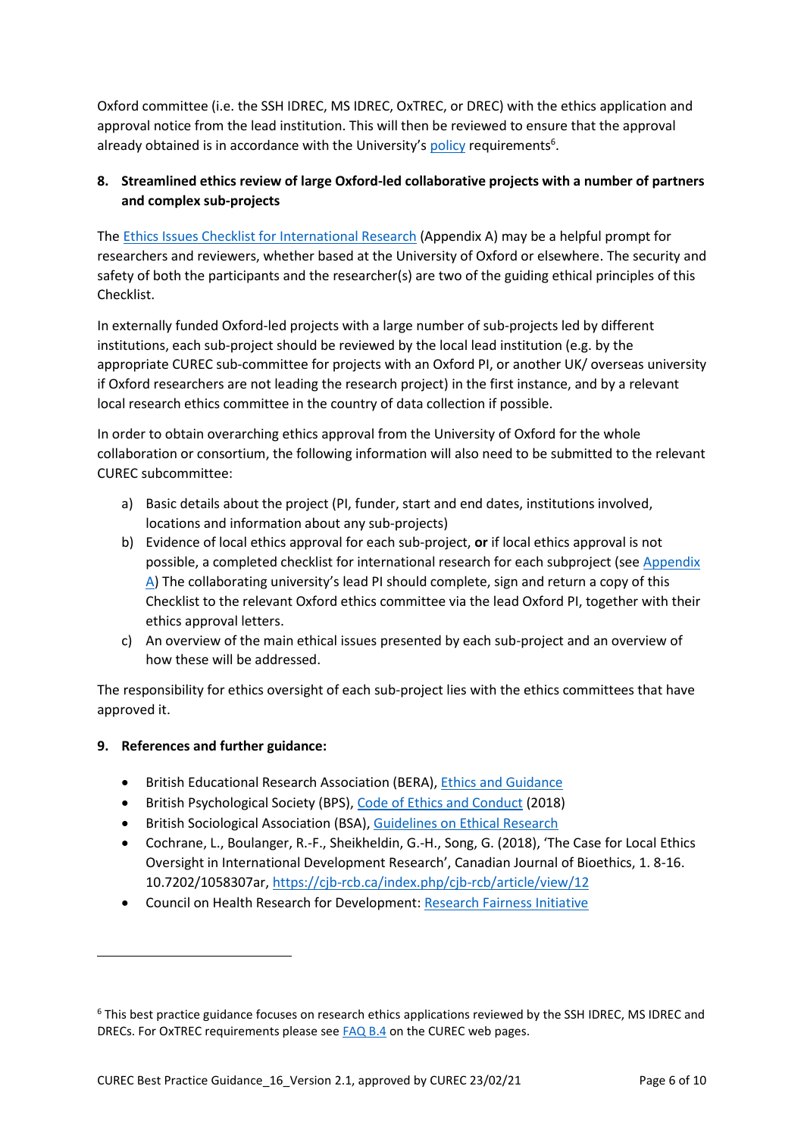Oxford committee (i.e. the SSH IDREC, MS IDREC, OxTREC, or DREC) with the ethics application and approval notice from the lead institution. This will then be reviewed to ensure that the approval already obtained is in accordance with the University's [policy](https://researchsupport.admin.ox.ac.uk/governance/ethics/committees/policy) requirements<sup>6</sup>.

# <span id="page-5-0"></span>**8. Streamlined ethics review of large Oxford-led collaborative projects with a number of partners and complex sub-projects**

The [Ethics Issues Checklist for International Research](#page-7-0) (Appendix A) may be a helpful prompt for researchers and reviewers, whether based at the University of Oxford or elsewhere. The security and safety of both the participants and the researcher(s) are two of the guiding ethical principles of this Checklist.

In externally funded Oxford-led projects with a large number of sub-projects led by different institutions, each sub-project should be reviewed by the local lead institution (e.g. by the appropriate CUREC sub-committee for projects with an Oxford PI, or another UK/ overseas university if Oxford researchers are not leading the research project) in the first instance, and by a relevant local research ethics committee in the country of data collection if possible.

In order to obtain overarching ethics approval from the University of Oxford for the whole collaboration or consortium, the following information will also need to be submitted to the relevant CUREC subcommittee:

- a) Basic details about the project (PI, funder, start and end dates, institutions involved, locations and information about any sub-projects)
- b) Evidence of local ethics approval for each sub-project, **or** if local ethics approval is not possible, a completed checklist for international research for each subproject (see Appendix [A](#page-7-0)) The collaborating university's lead PI should complete, sign and return a copy of this Checklist to the relevant Oxford ethics committee via the lead Oxford PI, together with their ethics approval letters.
- c) An overview of the main ethical issues presented by each sub-project and an overview of how these will be addressed.

The responsibility for ethics oversight of each sub-project lies with the ethics committees that have approved it.

# <span id="page-5-1"></span>**9. References and further guidance:**

1

- British Educational Research Association (BERA)[, Ethics and Guidance](https://www.bera.ac.uk/researchers-resources/resources-for-researchers)
- British Psychological Society (BPS)[, Code of Ethics and Conduct](https://www.bps.org.uk/news-and-policy/bps-code-ethics-and-conduct) (2018)
- **•** British Sociological Association (BSA)[, Guidelines on Ethical Research](https://www.britsoc.co.uk/ethics)
- Cochrane, L., Boulanger, R.-F., Sheikheldin, G.-H., Song, G. (2018), 'The Case for Local Ethics Oversight in International Development Research', Canadian Journal of Bioethics, 1. 8-16. 10.7202/1058307ar,<https://cjb-rcb.ca/index.php/cjb-rcb/article/view/12>
- Council on Health Research for Development: [Research Fairness Initiative](http://rfi.cohred.org/)

<sup>6</sup> This best practice guidance focuses on research ethics applications reviewed by the SSH IDREC, MS IDREC and DRECs. For OxTREC requirements please see [FAQ B.4](https://researchsupport.admin.ox.ac.uk/governance/ethics/faqs-glossary/faqs#collapse410681) on the CUREC web pages.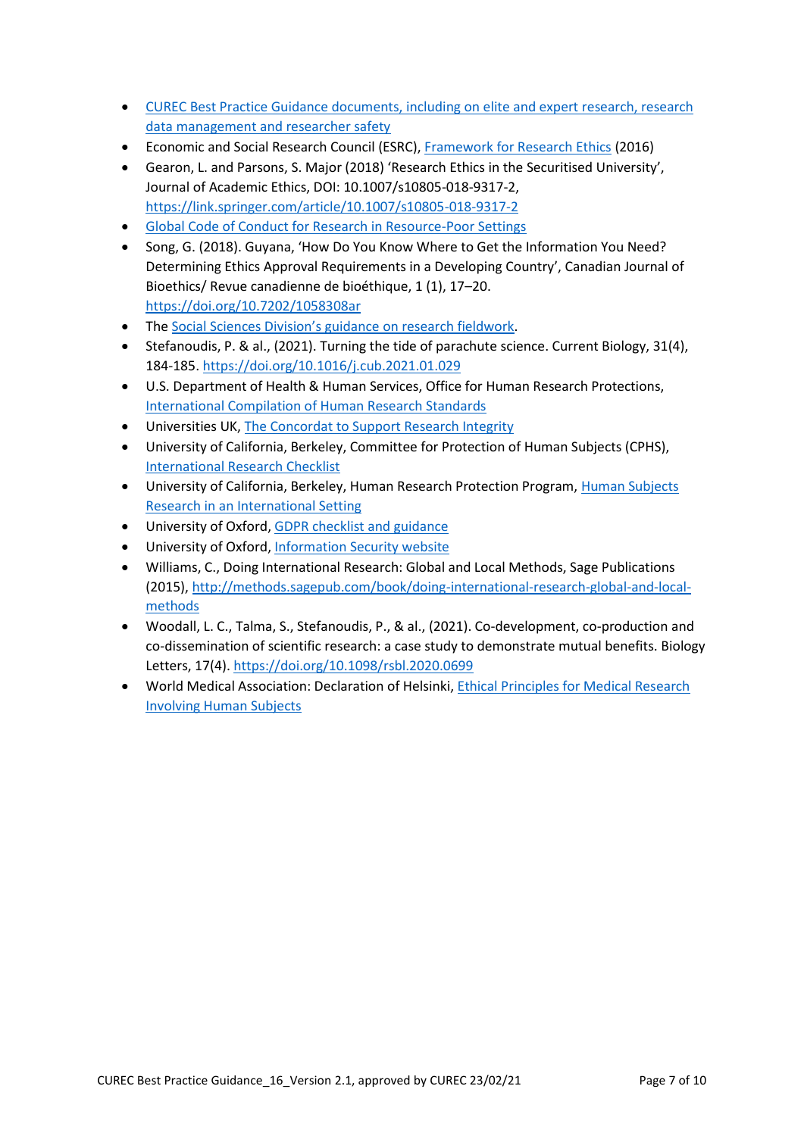- [CUREC Best Practice Guidance documents, including on elite and expert research, research](https://researchsupport.admin.ox.ac.uk/governance/ethics/resources/bpg)  [data management and researcher safety](https://researchsupport.admin.ox.ac.uk/governance/ethics/resources/bpg)
- Economic and Social Research Council (ESRC), [Framework for Research Ethics](https://esrc.ukri.org/funding/guidance-for-applicants/research-ethics) (2016)
- Gearon, L. and Parsons, S. Major (2018) 'Research Ethics in the Securitised University', Journal of Academic Ethics, DOI: 10.1007/s10805-018-9317-2, <https://link.springer.com/article/10.1007/s10805-018-9317-2>
- [Global Code of Conduct for Research in Resource-Poor Settings](http://www.globalcodeofconduct.org/)
- Song, G. (2018). Guyana, 'How Do You Know Where to Get the Information You Need? Determining Ethics Approval Requirements in a Developing Country', Canadian Journal of Bioethics/ Revue canadienne de bioéthique, 1 (1), 17–20. <https://doi.org/10.7202/1058308ar>
- The Social Sciences Divisi[on's guidance on research fieldwork](https://www.socsci.ox.ac.uk/research-fieldwork).
- Stefanoudis, P. & al., (2021). Turning the tide of parachute science. Current Biology, 31(4), 184-185.<https://doi.org/10.1016/j.cub.2021.01.029>
- U.S. Department of Health & Human Services, Office for Human Research Protections, [International Compilation of Human Research Standards](https://www.hhs.gov/ohrp/international/compilation-human-research-standards/index.html)
- Universities UK, [The Concordat to Support Research Integrity](https://www.universitiesuk.ac.uk/policy-and-analysis/reports/Documents/2019/the-concordat-to-support-research-integrity.pdf)
- University of California, Berkeley, Committee for Protection of Human Subjects (CPHS), [International Research Checklist](https://cphs.berkeley.edu/international_research_checklist.pdf)
- University of California, Berkeley, Human Research Protection Program, Human Subjects [Research in an International Setting](https://cphs.berkeley.edu/international.html)
- University of Oxford, [GDPR checklist and guidance](https://researchsupport.admin.ox.ac.uk/policy/data/checklist)
- University of Oxford[, Information Security website](https://www.infosec.ox.ac.uk/)
- Williams, C., Doing International Research: Global and Local Methods, Sage Publications (2015), [http://methods.sagepub.com/book/doing-international-research-global-and-local](http://methods.sagepub.com/book/doing-international-research-global-and-local-methods)[methods](http://methods.sagepub.com/book/doing-international-research-global-and-local-methods)
- Woodall, L. C., Talma, S., Stefanoudis, P., & al., (2021). Co-development, co-production and co-dissemination of scientific research: a case study to demonstrate mutual benefits. Biology Letters, 17(4). <https://doi.org/10.1098/rsbl.2020.0699>
- World Medical Association: Declaration of Helsinki[, Ethical Principles for Medical Research](https://www.wma.net/policies-post/wma-declaration-of-helsinki-ethical-principles-for-medical-research-involving-human-subjects)  [Involving Human Subjects](https://www.wma.net/policies-post/wma-declaration-of-helsinki-ethical-principles-for-medical-research-involving-human-subjects)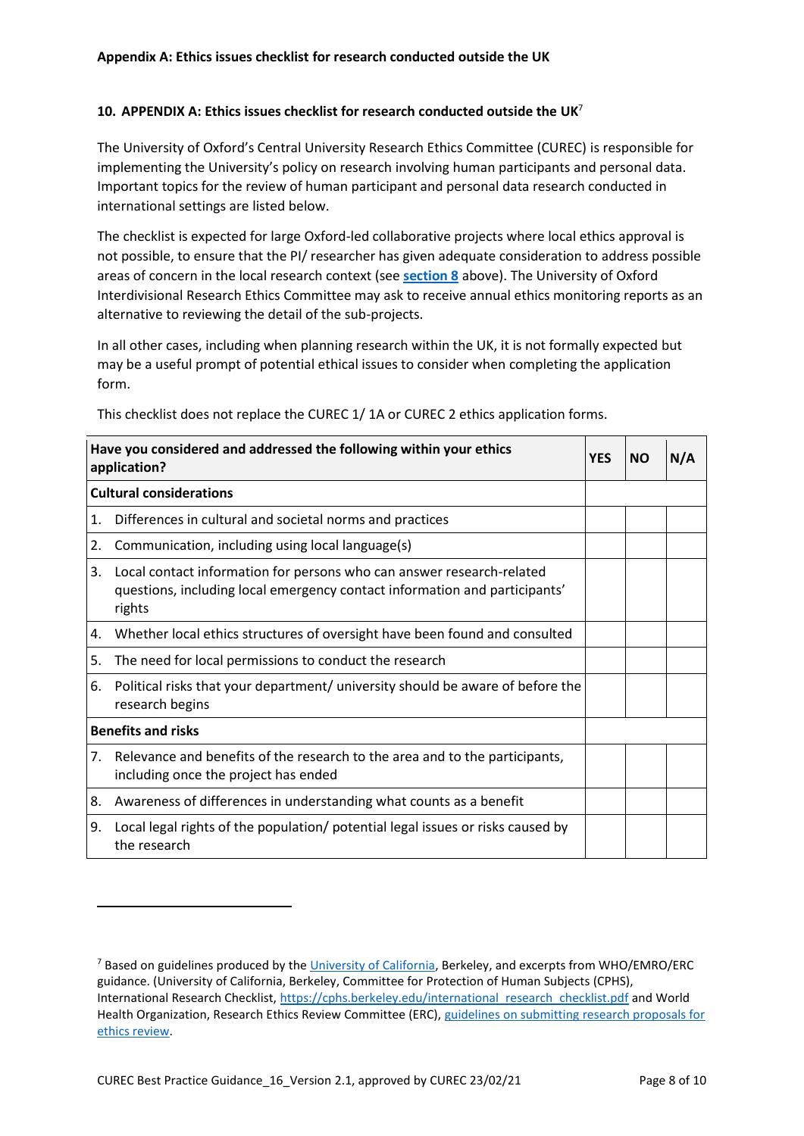#### <span id="page-7-0"></span>**10. APPENDIX A: Ethics issues checklist for research conducted outside the UK**<sup>7</sup>

The University of Oxford's Central University Research Ethics Committee (CUREC) is responsible for implementing the University's policy on research involving human participants and personal data. Important topics for the review of human participant and personal data research conducted in international settings are listed below.

The checklist is expected for large Oxford-led collaborative projects where local ethics approval is not possible, to ensure that the PI/ researcher has given adequate consideration to address possible areas of concern in the local research context (see **[section 8](#page-5-0)** above). The University of Oxford Interdivisional Research Ethics Committee may ask to receive annual ethics monitoring reports as an alternative to reviewing the detail of the sub-projects.

In all other cases, including when planning research within the UK, it is not formally expected but may be a useful prompt of potential ethical issues to consider when completing the application form.

| Have you considered and addressed the following within your ethics<br>application? |                                                                                                                                                               | <b>YES</b> | <b>NO</b> | N/A |
|------------------------------------------------------------------------------------|---------------------------------------------------------------------------------------------------------------------------------------------------------------|------------|-----------|-----|
| <b>Cultural considerations</b>                                                     |                                                                                                                                                               |            |           |     |
| 1.                                                                                 | Differences in cultural and societal norms and practices                                                                                                      |            |           |     |
| 2.                                                                                 | Communication, including using local language(s)                                                                                                              |            |           |     |
| 3.                                                                                 | Local contact information for persons who can answer research-related<br>questions, including local emergency contact information and participants'<br>rights |            |           |     |
| 4.                                                                                 | Whether local ethics structures of oversight have been found and consulted                                                                                    |            |           |     |
| 5.                                                                                 | The need for local permissions to conduct the research                                                                                                        |            |           |     |
| 6.                                                                                 | Political risks that your department/ university should be aware of before the<br>research begins                                                             |            |           |     |
| <b>Benefits and risks</b>                                                          |                                                                                                                                                               |            |           |     |
| 7.                                                                                 | Relevance and benefits of the research to the area and to the participants,<br>including once the project has ended                                           |            |           |     |
| 8.                                                                                 | Awareness of differences in understanding what counts as a benefit                                                                                            |            |           |     |
| 9.                                                                                 | Local legal rights of the population/ potential legal issues or risks caused by<br>the research                                                               |            |           |     |

This checklist does not replace the CUREC 1/ 1A or CUREC 2 ethics application forms.

1

<sup>&</sup>lt;sup>7</sup> Based on guidelines produced by th[e University of California,](https://cphs.berkeley.edu/international_research_checklist.pdf) Berkeley, and excerpts from WHO/EMRO/ERC guidance. (University of California, Berkeley, Committee for Protection of Human Subjects (CPHS), International Research Checklist, [https://cphs.berkeley.edu/international\\_research\\_checklist.pdf](https://cphs.berkeley.edu/international_research_checklist.pdf) and World Health Organization, Research Ethics Review Committee (ERC), [guidelines on submitting research proposals for](https://www.who.int/ethics/review-committee/guidelines/en)  [ethics review.](https://www.who.int/ethics/review-committee/guidelines/en)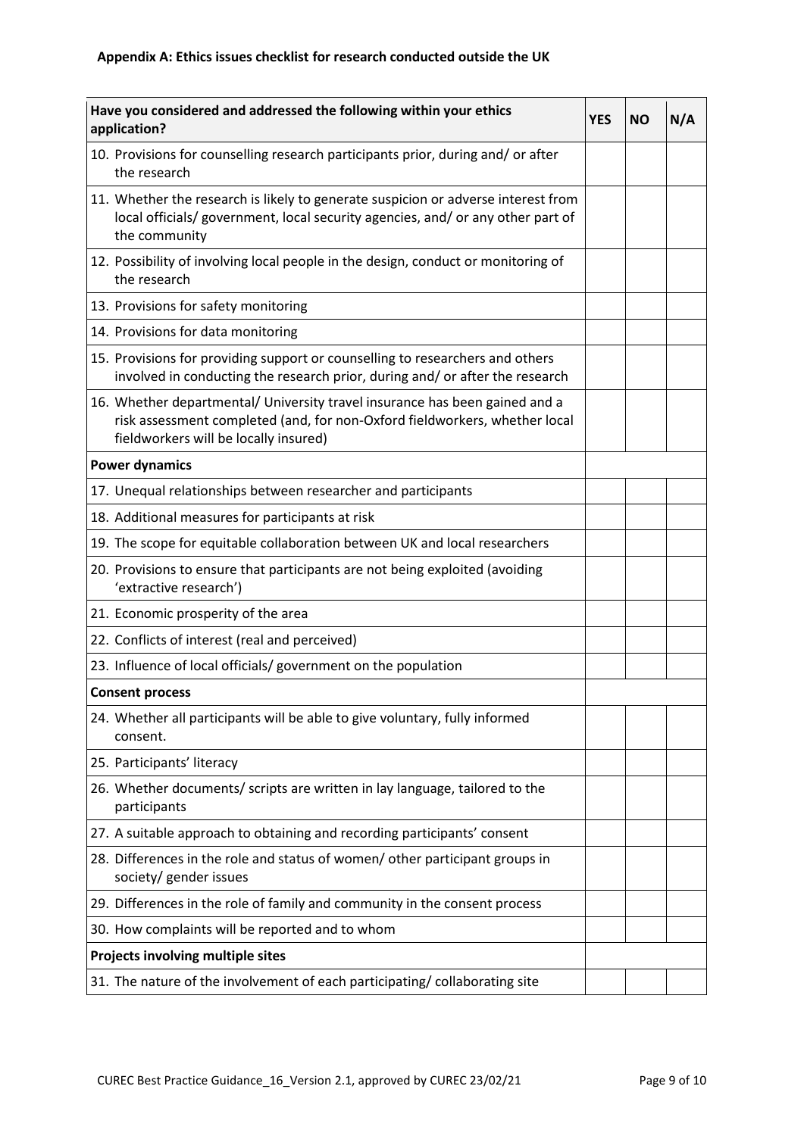| Have you considered and addressed the following within your ethics<br>application?                                                                                                                 |  | ΝO | N/A |
|----------------------------------------------------------------------------------------------------------------------------------------------------------------------------------------------------|--|----|-----|
| 10. Provisions for counselling research participants prior, during and/ or after<br>the research                                                                                                   |  |    |     |
| 11. Whether the research is likely to generate suspicion or adverse interest from<br>local officials/ government, local security agencies, and/ or any other part of<br>the community              |  |    |     |
| 12. Possibility of involving local people in the design, conduct or monitoring of<br>the research                                                                                                  |  |    |     |
| 13. Provisions for safety monitoring                                                                                                                                                               |  |    |     |
| 14. Provisions for data monitoring                                                                                                                                                                 |  |    |     |
| 15. Provisions for providing support or counselling to researchers and others<br>involved in conducting the research prior, during and/ or after the research                                      |  |    |     |
| 16. Whether departmental/ University travel insurance has been gained and a<br>risk assessment completed (and, for non-Oxford fieldworkers, whether local<br>fieldworkers will be locally insured) |  |    |     |
| <b>Power dynamics</b>                                                                                                                                                                              |  |    |     |
| 17. Unequal relationships between researcher and participants                                                                                                                                      |  |    |     |
| 18. Additional measures for participants at risk                                                                                                                                                   |  |    |     |
| 19. The scope for equitable collaboration between UK and local researchers                                                                                                                         |  |    |     |
| 20. Provisions to ensure that participants are not being exploited (avoiding<br>'extractive research')                                                                                             |  |    |     |
| 21. Economic prosperity of the area                                                                                                                                                                |  |    |     |
| 22. Conflicts of interest (real and perceived)                                                                                                                                                     |  |    |     |
| 23. Influence of local officials/ government on the population                                                                                                                                     |  |    |     |
| <b>Consent process</b>                                                                                                                                                                             |  |    |     |
| 24. Whether all participants will be able to give voluntary, fully informed<br>consent.                                                                                                            |  |    |     |
| 25. Participants' literacy                                                                                                                                                                         |  |    |     |
| 26. Whether documents/ scripts are written in lay language, tailored to the<br>participants                                                                                                        |  |    |     |
| 27. A suitable approach to obtaining and recording participants' consent                                                                                                                           |  |    |     |
| 28. Differences in the role and status of women/ other participant groups in<br>society/ gender issues                                                                                             |  |    |     |
| 29. Differences in the role of family and community in the consent process                                                                                                                         |  |    |     |
| 30. How complaints will be reported and to whom                                                                                                                                                    |  |    |     |
| Projects involving multiple sites                                                                                                                                                                  |  |    |     |
| 31. The nature of the involvement of each participating/ collaborating site                                                                                                                        |  |    |     |